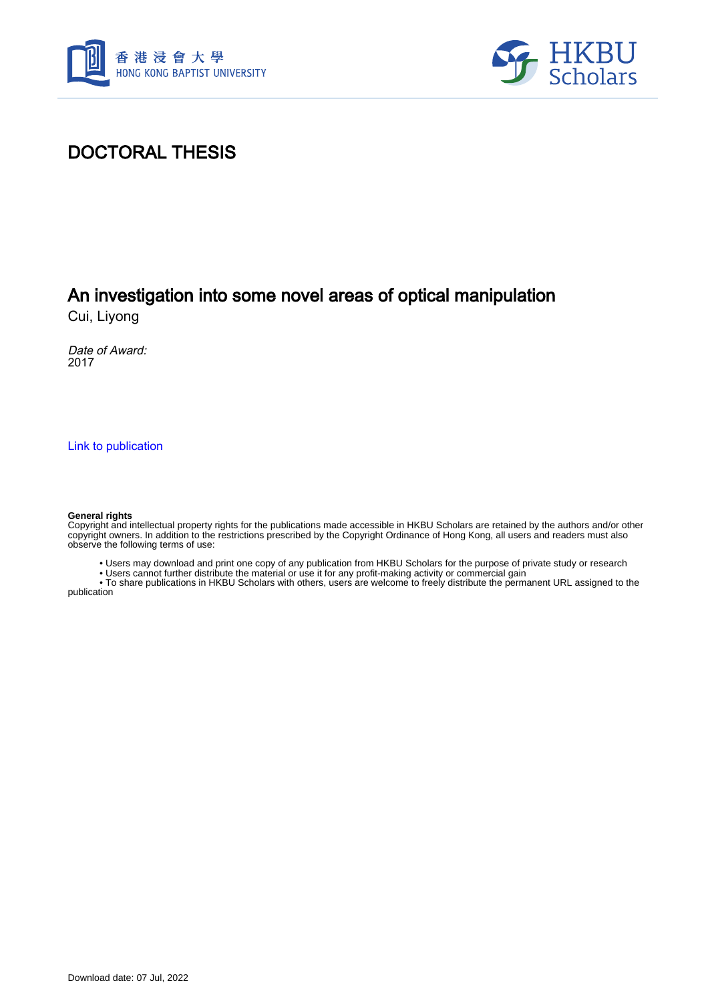



### DOCTORAL THESIS

# An investigation into some novel areas of optical manipulation

Cui, Liyong

Date of Award: 2017

[Link to publication](https://scholars.hkbu.edu.hk/en/studentTheses/97ea6e4b-c348-49dd-9628-6118fac7e192)

#### **General rights**

Copyright and intellectual property rights for the publications made accessible in HKBU Scholars are retained by the authors and/or other copyright owners. In addition to the restrictions prescribed by the Copyright Ordinance of Hong Kong, all users and readers must also observe the following terms of use:

• Users may download and print one copy of any publication from HKBU Scholars for the purpose of private study or research

• Users cannot further distribute the material or use it for any profit-making activity or commercial gain

 • To share publications in HKBU Scholars with others, users are welcome to freely distribute the permanent URL assigned to the publication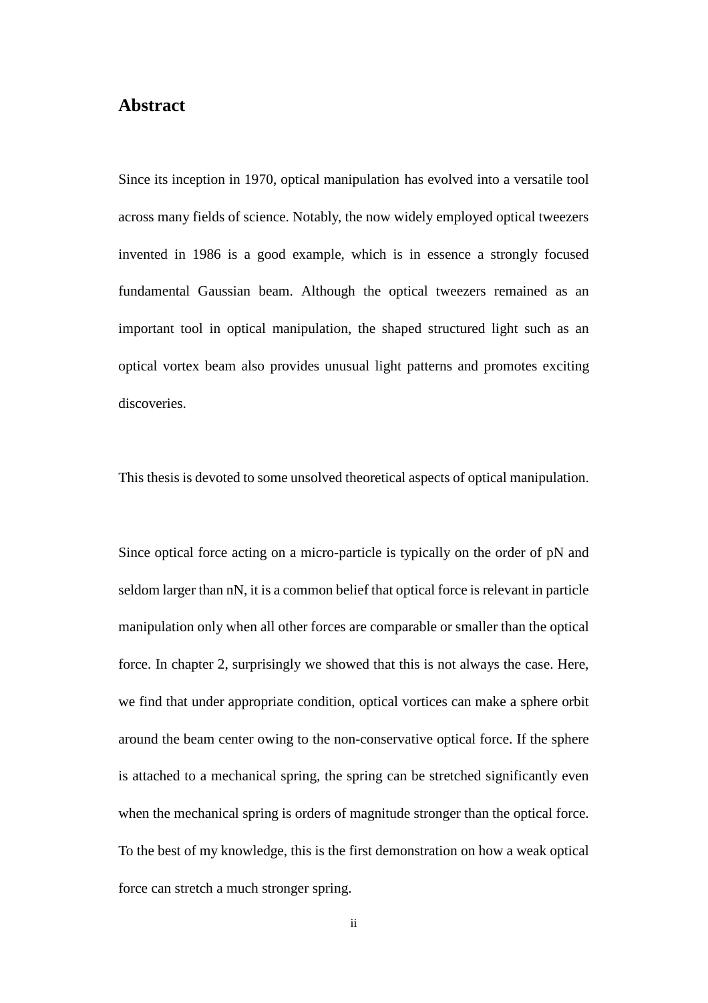### **Abstract**

Since its inception in 1970, optical manipulation has evolved into a versatile tool across many fields of science. Notably, the now widely employed optical tweezers invented in 1986 is a good example, which is in essence a strongly focused fundamental Gaussian beam. Although the optical tweezers remained as an important tool in optical manipulation, the shaped structured light such as an optical vortex beam also provides unusual light patterns and promotes exciting discoveries.

This thesis is devoted to some unsolved theoretical aspects of optical manipulation.

Since optical force acting on a micro-particle is typically on the order of pN and seldom larger than nN, it is a common belief that optical force is relevant in particle manipulation only when all other forces are comparable or smaller than the optical force. In chapter 2, surprisingly we showed that this is not always the case. Here, we find that under appropriate condition, optical vortices can make a sphere orbit around the beam center owing to the non-conservative optical force. If the sphere is attached to a mechanical spring, the spring can be stretched significantly even when the mechanical spring is orders of magnitude stronger than the optical force. To the best of my knowledge, this is the first demonstration on how a weak optical force can stretch a much stronger spring.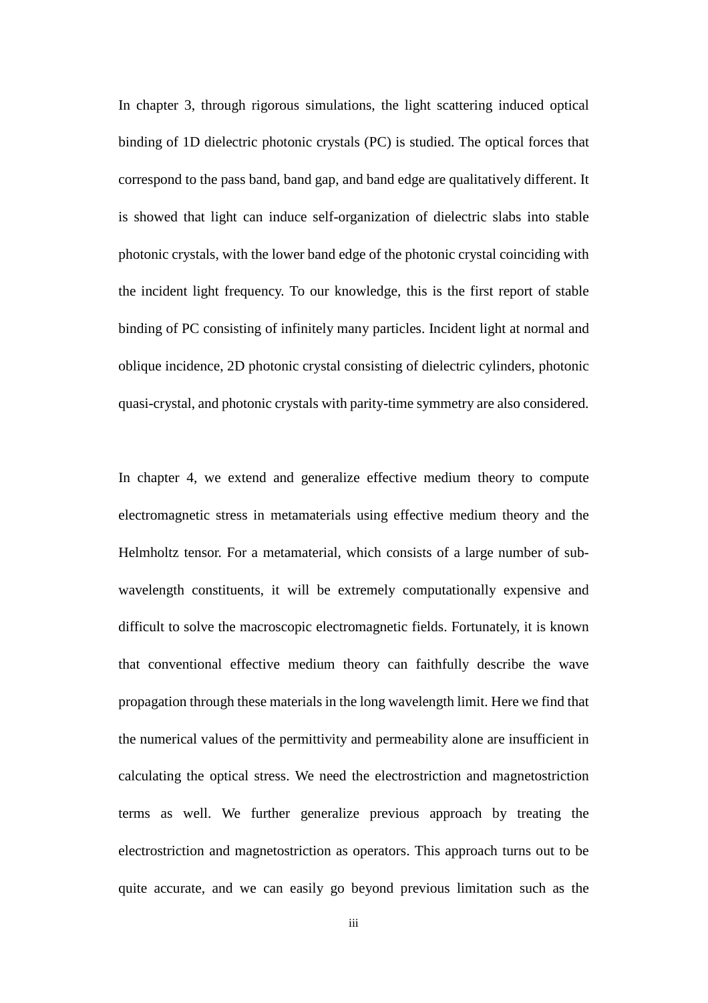In chapter 3, through rigorous simulations, the light scattering induced optical binding of 1D dielectric photonic crystals (PC) is studied. The optical forces that correspond to the pass band, band gap, and band edge are qualitatively different. It is showed that light can induce self-organization of dielectric slabs into stable photonic crystals, with the lower band edge of the photonic crystal coinciding with the incident light frequency. To our knowledge, this is the first report of stable binding of PC consisting of infinitely many particles. Incident light at normal and oblique incidence, 2D photonic crystal consisting of dielectric cylinders, photonic quasi-crystal, and photonic crystals with parity-time symmetry are also considered.

In chapter 4, we extend and generalize effective medium theory to compute electromagnetic stress in metamaterials using effective medium theory and the Helmholtz tensor. For a metamaterial, which consists of a large number of subwavelength constituents, it will be extremely computationally expensive and difficult to solve the macroscopic electromagnetic fields. Fortunately, it is known that conventional effective medium theory can faithfully describe the wave propagation through these materials in the long wavelength limit. Here we find that the numerical values of the permittivity and permeability alone are insufficient in calculating the optical stress. We need the electrostriction and magnetostriction terms as well. We further generalize previous approach by treating the electrostriction and magnetostriction as operators. This approach turns out to be quite accurate, and we can easily go beyond previous limitation such as the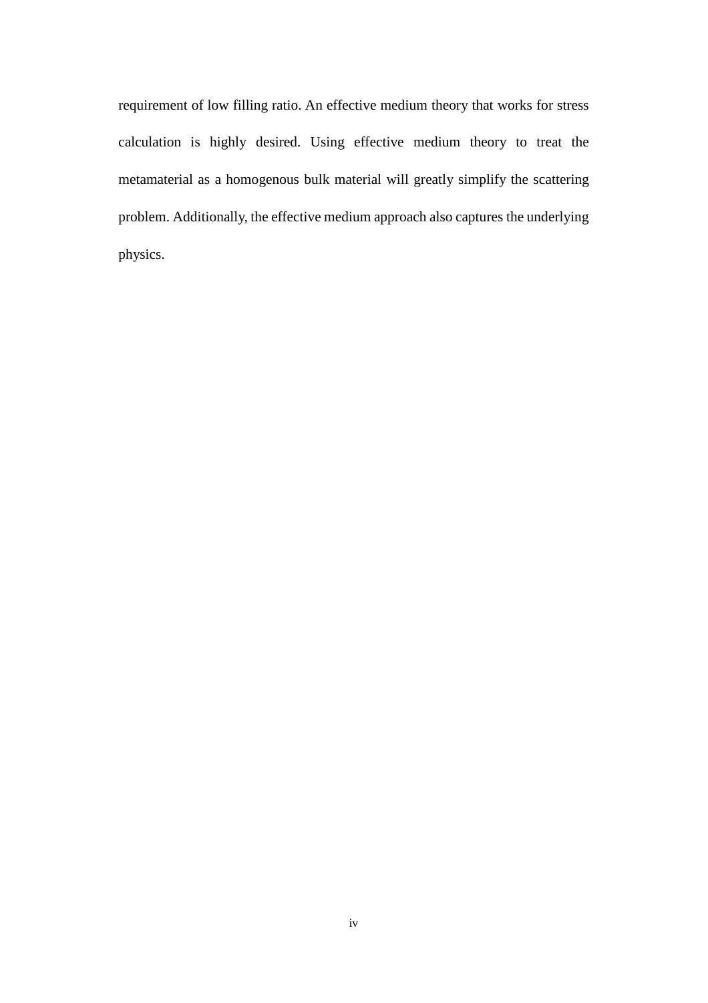requirement of low filling ratio. An effective medium theory that works for stress calculation is highly desired. Using effective medium theory to treat the metamaterial as a homogenous bulk material will greatly simplify the scattering problem. Additionally, the effective medium approach also captures the underlying physics.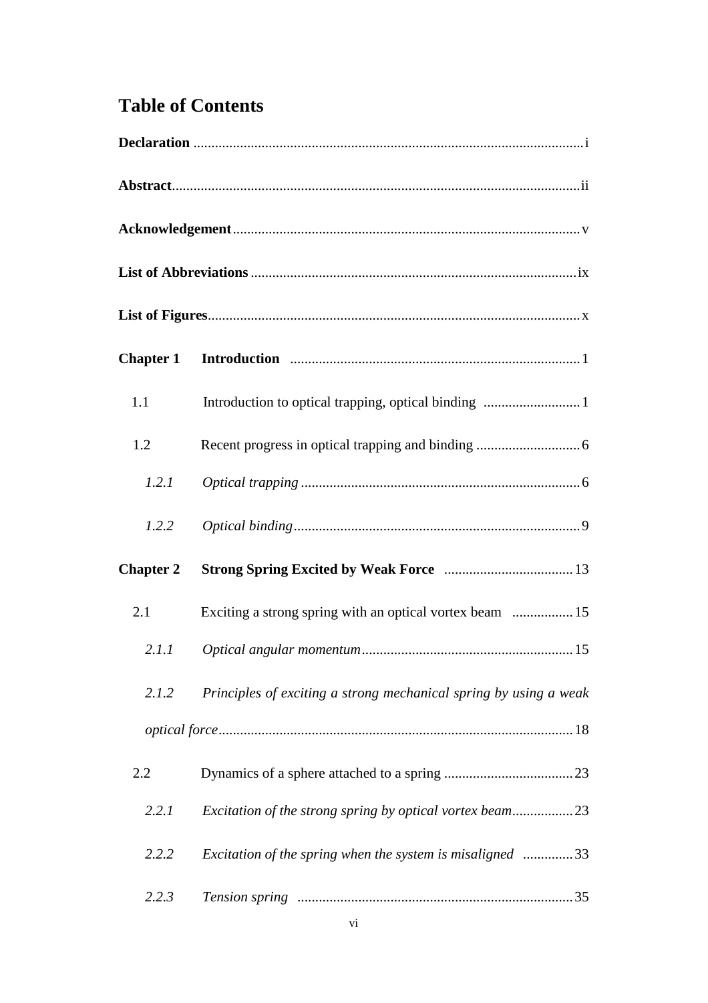## **Table of Contents**

| 1.1              | Introduction to optical trapping, optical binding  1              |  |
|------------------|-------------------------------------------------------------------|--|
| 1.2              |                                                                   |  |
| 1.2.1            |                                                                   |  |
| 1.2.2            |                                                                   |  |
| <b>Chapter 2</b> |                                                                   |  |
| 2.1              | Exciting a strong spring with an optical vortex beam  15          |  |
| 2.1.1            |                                                                   |  |
| 2.1.2            | Principles of exciting a strong mechanical spring by using a weak |  |
|                  |                                                                   |  |
| 2.2              |                                                                   |  |
| 2.2.1            |                                                                   |  |
| 2.2.2            | Excitation of the spring when the system is misaligned 33         |  |
| 2.2.3            |                                                                   |  |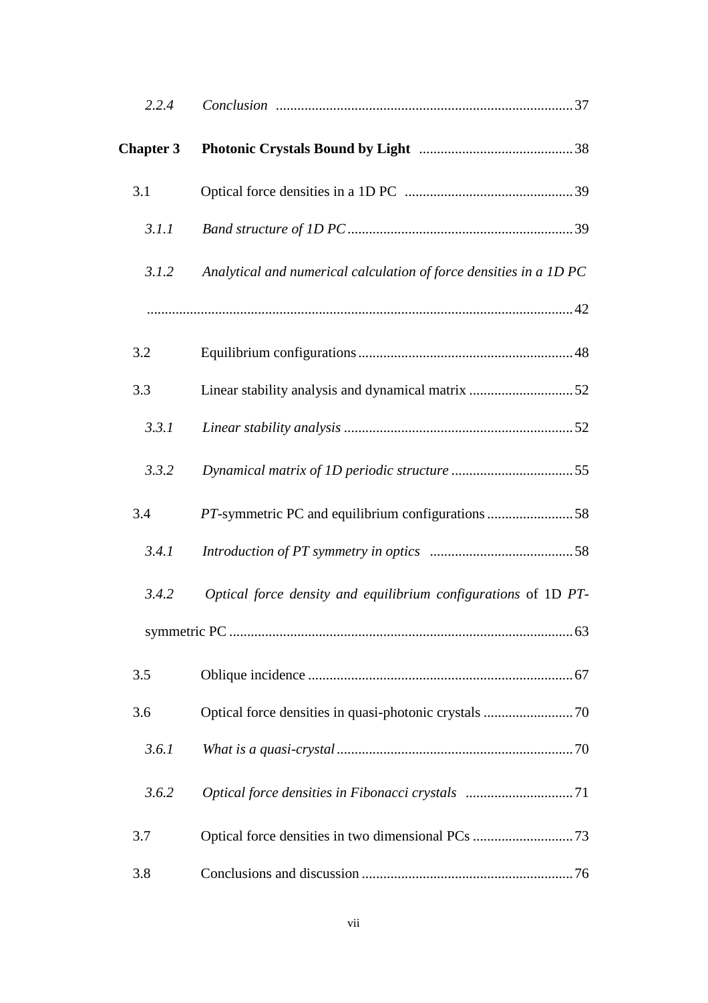| 2.2.4            |                                                                    |
|------------------|--------------------------------------------------------------------|
| <b>Chapter 3</b> |                                                                    |
| 3.1              |                                                                    |
| 3.1.1            |                                                                    |
| 3.1.2            | Analytical and numerical calculation of force densities in a 1D PC |
|                  |                                                                    |
| 3.2              |                                                                    |
| 3.3              | Linear stability analysis and dynamical matrix 52                  |
| 3.3.1            |                                                                    |
| 3.3.2            |                                                                    |
| 3.4              | PT-symmetric PC and equilibrium configurations 58                  |
| 3.4.1            |                                                                    |
| 3.4.2            | Optical force density and equilibrium configurations of 1D PT-     |
|                  | 63                                                                 |
| 3.5              |                                                                    |
| 3.6              |                                                                    |
| 3.6.1            |                                                                    |
| 3.6.2            | Optical force densities in Fibonacci crystals 71                   |
| 3.7              |                                                                    |
| 3.8              |                                                                    |